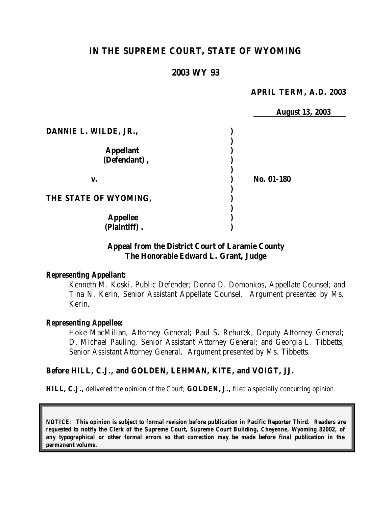## **IN THE SUPREME COURT, STATE OF WYOMING**

### **2003 WY 93**

### **APRIL TERM, A.D. 2003**

*August 13, 2003*

|                       | <b>August 13,</b> |
|-----------------------|-------------------|
| DANNIE L. WILDE, JR., |                   |
|                       |                   |
| <b>Appellant</b>      |                   |
| (Defendant),          |                   |
| v.                    | No. 01-180        |
| THE STATE OF WYOMING, |                   |
| <b>Appellee</b>       |                   |
| (Plaintiff).          |                   |

### **Appeal from the District Court of Laramie County The Honorable Edward L. Grant, Judge**

#### *Representing Appellant:*

Kenneth M. Koski, Public Defender; Donna D. Domonkos, Appellate Counsel; and Tina N. Kerin, Senior Assistant Appellate Counsel. Argument presented by Ms. Kerin.

#### *Representing Appellee:*

Hoke MacMillan, Attorney General; Paul S. Rehurek, Deputy Attorney General; D. Michael Pauling, Senior Assistant Attorney General; and Georgia L. Tibbetts, Senior Assistant Attorney General. Argument presented by Ms. Tibbetts.

#### **Before HILL, C.J., and GOLDEN, LEHMAN, KITE, and VOIGT, JJ.**

**HILL, C.J.,** delivered the opinion of the Court; **GOLDEN, J.,** filed a specially concurring opinion.

*NOTICE: This opinion is subject to formal revision before publication in Pacific Reporter Third. Readers are requested to notify the Clerk of the Supreme Court, Supreme Court Building, Cheyenne, Wyoming 82002, of any typographical or other formal errors so that correction may be made before final publication in the permanent volume.*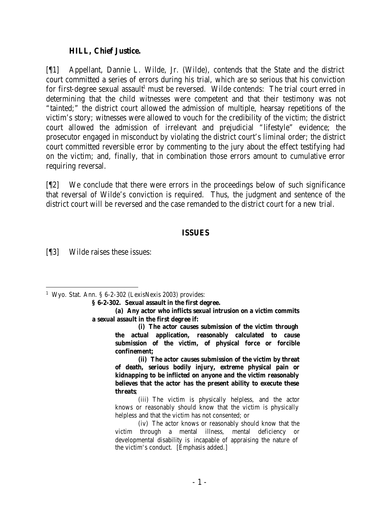### **HILL, Chief Justice.**

[¶1] Appellant, Dannie L. Wilde, Jr. (Wilde), contends that the State and the district court committed a series of errors during his trial, which are so serious that his conviction for first-degree sexual assault<sup>1</sup> must be reversed. Wilde contends: The trial court erred in determining that the child witnesses were competent and that their testimony was not "tainted;" the district court allowed the admission of multiple, hearsay repetitions of the victim's story; witnesses were allowed to vouch for the credibility of the victim; the district court allowed the admission of irrelevant and prejudicial "lifestyle" evidence; the prosecutor engaged in misconduct by violating the district court's liminal order; the district court committed reversible error by commenting to the jury about the effect testifying had on the victim; and, finally, that in combination those errors amount to cumulative error requiring reversal.

[¶2] We conclude that there were errors in the proceedings below of such significance that reversal of Wilde's conviction is required. Thus, the judgment and sentence of the district court will be reversed and the case remanded to the district court for a new trial.

### **ISSUES**

[¶3] Wilde raises these issues:

**(i) The actor causes submission of the victim through the actual application, reasonably calculated to cause submission of the victim, of physical force or forcible confinement;**

**(ii) The actor causes submission of the victim by threat of death, serious bodily injury, extreme physical pain or kidnapping to be inflicted on anyone and the victim reasonably believes that the actor has the present ability to execute these threats**;

(iii) The victim is physically helpless, and the actor knows or reasonably should know that the victim is physically helpless and that the victim has not consented; or

(iv) The actor knows or reasonably should know that the victim through a mental illness, mental deficiency or developmental disability is incapable of appraising the nature of the victim's conduct. [Emphasis added.]

 <sup>1</sup> Wyo. Stat. Ann. § 6-2-302 (LexisNexis 2003) provides:

**<sup>§ 6-2-302.</sup> Sexual assault in the first degree.**

**<sup>(</sup>a) Any actor who inflicts sexual intrusion on a victim commits a sexual assault in the first degree if:**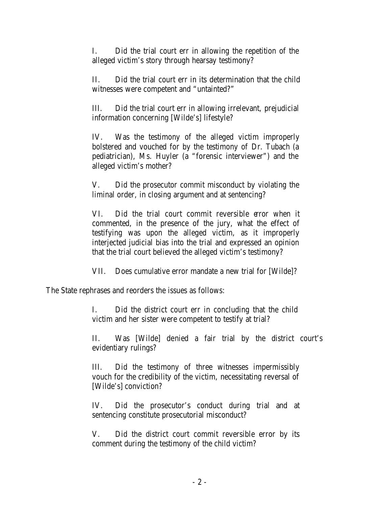I. Did the trial court err in allowing the repetition of the alleged victim's story through hearsay testimony?

II. Did the trial court err in its determination that the child witnesses were competent and "untainted?"

III. Did the trial court err in allowing irrelevant, prejudicial information concerning [Wilde's] lifestyle?

IV. Was the testimony of the alleged victim improperly bolstered and vouched for by the testimony of Dr. Tubach (a pediatrician), Ms. Huyler (a "forensic interviewer") and the alleged victim's mother?

V. Did the prosecutor commit misconduct by violating the liminal order, in closing argument and at sentencing?

VI. Did the trial court commit reversible error when it commented, in the presence of the jury, what the effect of testifying was upon the alleged victim, as it improperly interjected judicial bias into the trial and expressed an opinion that the trial court believed the alleged victim's testimony?

VII. Does cumulative error mandate a new trial for [Wilde]?

The State rephrases and reorders the issues as follows:

I. Did the district court err in concluding that the child victim and her sister were competent to testify at trial?

II. Was [Wilde] denied a fair trial by the district court's evidentiary rulings?

III. Did the testimony of three witnesses impermissibly vouch for the credibility of the victim, necessitating reversal of [Wilde's] conviction?

IV. Did the prosecutor's conduct during trial and at sentencing constitute prosecutorial misconduct?

V. Did the district court commit reversible error by its comment during the testimony of the child victim?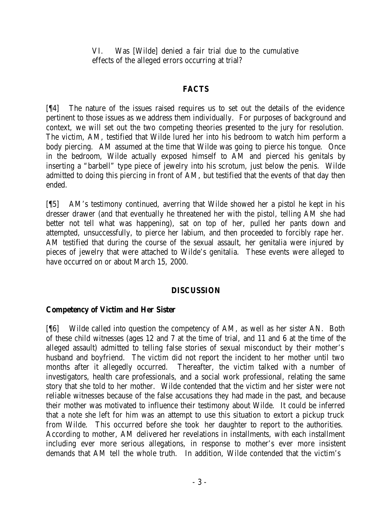VI. Was [Wilde] denied a fair trial due to the cumulative effects of the alleged errors occurring at trial?

### **FACTS**

[¶4] The nature of the issues raised requires us to set out the details of the evidence pertinent to those issues as we address them individually. For purposes of background and context, we will set out the two competing theories presented to the jury for resolution. The victim, AM, testified that Wilde lured her into his bedroom to watch him perform a body piercing. AM assumed at the time that Wilde was going to pierce his tongue. Once in the bedroom, Wilde actually exposed himself to AM and pierced his genitals by inserting a "barbell" type piece of jewelry into his scrotum, just below the penis. Wilde admitted to doing this piercing in front of AM, but testified that the events of that day then ended.

[¶5] AM's testimony continued, averring that Wilde showed her a pistol he kept in his dresser drawer (and that eventually he threatened her with the pistol, telling AM she had better not tell what was happening), sat on top of her, pulled her pants down and attempted, unsuccessfully, to pierce her labium, and then proceeded to forcibly rape her. AM testified that during the course of the sexual assault, her genitalia were injured by pieces of jewelry that were attached to Wilde's genitalia. These events were alleged to have occurred on or about March 15, 2000.

### **DISCUSSION**

### **Competency of Victim and Her Sister**

[¶6] Wilde called into question the competency of AM, as well as her sister AN. Both of these child witnesses (ages 12 and 7 at the time of trial, and 11 and 6 at the time of the alleged assault) admitted to telling false stories of sexual misconduct by their mother's husband and boyfriend. The victim did not report the incident to her mother until two months after it allegedly occurred. Thereafter, the victim talked with a number of investigators, health care professionals, and a social work professional, relating the same story that she told to her mother. Wilde contended that the victim and her sister were not reliable witnesses because of the false accusations they had made in the past, and because their mother was motivated to influence their testimony about Wilde. It could be inferred that a note she left for him was an attempt to use this situation to extort a pickup truck from Wilde. This occurred before she took her daughter to report to the authorities. According to mother, AM delivered her revelations in installments, with each installment including ever more serious allegations, in response to mother's ever more insistent demands that AM tell the whole truth. In addition, Wilde contended that the victim's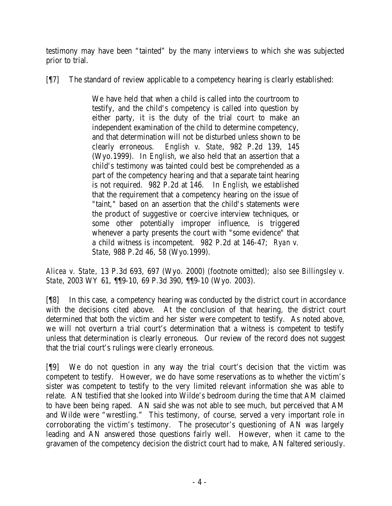testimony may have been "tainted" by the many interviews to which she was subjected prior to trial.

[¶7] The standard of review applicable to a competency hearing is clearly established:

We have held that when a child is called into the courtroom to testify, and the child's competency is called into question by either party, it is the duty of the trial court to make an independent examination of the child to determine competency, and that determination will not be disturbed unless shown to be clearly erroneous. *English v. State*, 982 P.2d 139, 145 (Wyo.1999). In *English*, we also held that an assertion that a child's testimony was tainted could best be comprehended as a part of the competency hearing and that a separate taint hearing is not required. 982 P.2d at 146. In *English*, we established that the requirement that a competency hearing on the issue of "taint," based on an assertion that the child's statements were the product of suggestive or coercive interview techniques, or some other potentially improper influence, is triggered whenever a party presents the court with "some evidence" that a child witness is incompetent. 982 P.2d at 146-47; *Ryan v. State*, 988 P.2d 46, 58 (Wyo.1999).

*Alicea v. State*, 13 P.3d 693, 697 (Wyo. 2000) (footnote omitted); *also see Billingsley v. State*, 2003 WY 61, ¶¶9-10, 69 P.3d 390, ¶¶9-10 (Wyo. 2003).

[¶8] In this case, a competency hearing was conducted by the district court in accordance with the decisions cited above. At the conclusion of that hearing, the district court determined that both the victim and her sister were competent to testify. As noted above, we will not overturn a trial court's determination that a witness is competent to testify unless that determination is clearly erroneous. Our review of the record does not suggest that the trial court's rulings were clearly erroneous.

[¶9] We do not question in any way the trial court's decision that the victim was competent to testify. However, we do have some reservations as to whether the victim's sister was competent to testify to the very limited relevant information she was able to relate. AN testified that she looked into Wilde's bedroom during the time that AM claimed to have been being raped. AN said she was not able to see much, but perceived that AM and Wilde were "wrestling." This testimony, of course, served a very important role in corroborating the victim's testimony. The prosecutor's questioning of AN was largely leading and AN answered those questions fairly well. However, when it came to the gravamen of the competency decision the district court had to make, AN faltered seriously.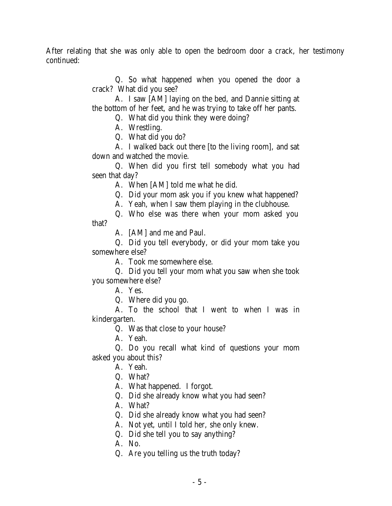After relating that she was only able to open the bedroom door a crack, her testimony continued:

> Q. So what happened when you opened the door a crack? What did you see?

> A. I saw [AM] laying on the bed, and Dannie sitting at the bottom of her feet, and he was trying to take off her pants.

Q. What did you think they were doing?

A. Wrestling.

Q. What did you do?

A. I walked back out there [to the living room], and sat down and watched the movie.

Q. When did you first tell somebody what you had seen that day?

A. When [AM] told me what he did.

Q. Did your mom ask you if you knew what happened?

A. Yeah, when I saw them playing in the clubhouse.

Q. Who else was there when your mom asked you that?

A. [AM] and me and Paul.

Q. Did you tell everybody, or did your mom take you somewhere else?

A. Took me somewhere else.

Q. Did you tell your mom what you saw when she took you somewhere else?

A. Yes.

Q. Where did you go.

A. To the school that I went to when I was in kindergarten.

Q. Was that close to your house?

A. Yeah.

Q. Do you recall what kind of questions your mom asked you about this?

A. Yeah.

Q. What?

A. What happened. I forgot.

Q. Did she already know what you had seen?

A. What?

Q. Did she already know what you had seen?

A. Not yet, until I told her, she only knew.

Q. Did she tell you to say anything?

A. No.

Q. Are you telling us the truth today?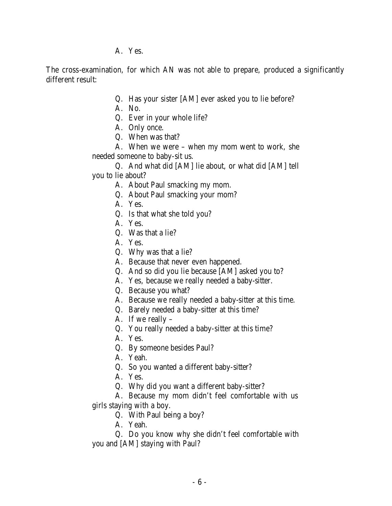A. Yes.

The cross-examination, for which AN was not able to prepare, produced a significantly different result:

- Q. Has your sister [AM] ever asked you to lie before?
- A. No.
- Q. Ever in your whole life?
- A. Only once.
- Q. When was that?

A. When we were – when my mom went to work, she needed someone to baby-sit us.

Q. And what did [AM] lie about, or what did [AM] tell

you to lie about?

- A. About Paul smacking my mom.
- Q. About Paul smacking your mom?
- A. Yes.
- Q. Is that what she told you?
- A. Yes.
- Q. Was that a lie?
- A. Yes.
- Q. Why was that a lie?
- A. Because that never even happened.
- Q. And so did you lie because [AM] asked you to?
- A. Yes, because we really needed a baby-sitter.
- Q. Because you what?
- A. Because we really needed a baby-sitter at this time.
- Q. Barely needed a baby-sitter at this time?
- A. If we really –
- Q. You really needed a baby-sitter at this time?
- A. Yes.
- Q. By someone besides Paul?
- A. Yeah.
- Q. So you wanted a different baby-sitter?
- A. Yes.
- Q. Why did you want a different baby-sitter?
- A. Because my mom didn't feel comfortable with us girls staying with a boy.
	- Q. With Paul being a boy?
	- A. Yeah.

Q. Do you know why she didn't feel comfortable with you and [AM] staying with Paul?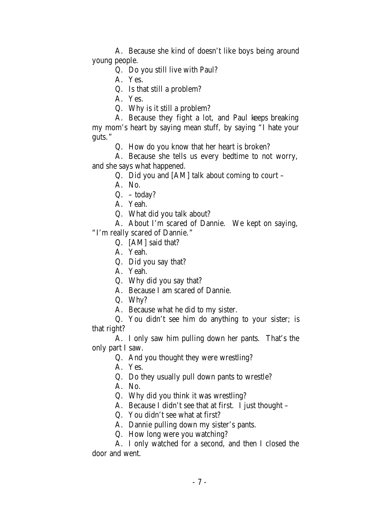A. Because she kind of doesn't like boys being around young people.

Q. Do you still live with Paul?

A. Yes.

Q. Is that still a problem?

A. Yes.

Q. Why is it still a problem?

A. Because they fight a lot, and Paul keeps breaking my mom's heart by saying mean stuff, by saying "I hate your guts."

Q. How do you know that her heart is broken?

A. Because she tells us every bedtime to not worry, and she says what happened.

Q. Did you and [AM] talk about coming to court –

A. No.

 $Q. - today?$ 

A. Yeah.

Q. What did you talk about?

A. About I'm scared of Dannie. We kept on saying, "I'm really scared of Dannie."

Q. [AM] said that?

A. Yeah.

Q. Did you say that?

A. Yeah.

Q. Why did you say that?

A. Because I am scared of Dannie.

Q. Why?

A. Because what he did to my sister.

Q. You didn't see him do anything to your sister; is that right?

A. I only saw him pulling down her pants. That's the only part I saw.

Q. And you thought they were wrestling?

A. Yes.

Q. Do they usually pull down pants to wrestle?

A. No.

Q. Why did you think it was wrestling?

A. Because I didn't see that at first. I just thought –

Q. You didn't see what at first?

A. Dannie pulling down my sister's pants.

Q. How long were you watching?

A. I only watched for a second, and then I closed the door and went.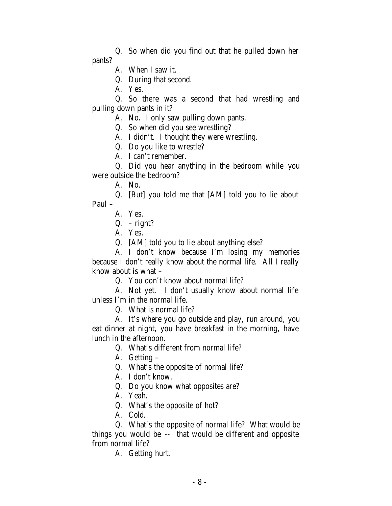Q. So when did you find out that he pulled down her pants?

A. When I saw it.

Q. During that second.

A. Yes.

Q. So there was a second that had wrestling and pulling down pants in it?

A. No. I only saw pulling down pants.

Q. So when did you see wrestling?

A. I didn't. I thought they were wrestling.

Q. Do you like to wrestle?

A. I can't remember.

Q. Did you hear anything in the bedroom while you were outside the bedroom?

A. No.

Q. [But] you told me that [AM] told you to lie about Paul –

A. Yes.

Q. – right?

A. Yes.

Q. [AM] told you to lie about anything else?

A. I don't know because I'm losing my memories because I don't really know about the normal life. All I really know about is what –

Q. You don't know about normal life?

A. Not yet. I don't usually know about normal life unless I'm in the normal life.

Q. What is normal life?

A. It's where you go outside and play, run around, you eat dinner at night, you have breakfast in the morning, have lunch in the afternoon.

Q. What's different from normal life?

A. Getting –

Q. What's the opposite of normal life?

A. I don't know.

Q. Do you know what opposites are?

A. Yeah.

Q. What's the opposite of hot?

A. Cold.

Q. What's the opposite of normal life? What would be things you would be -- that would be different and opposite from normal life?

A. Getting hurt.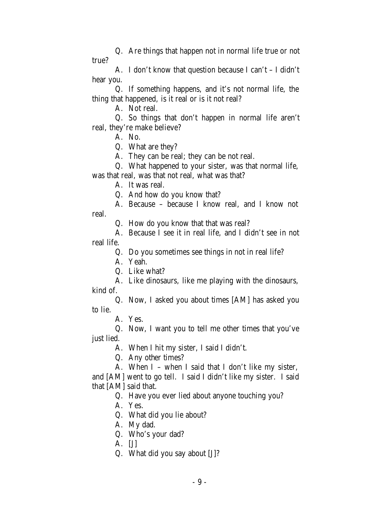Q. Are things that happen not in normal life true or not true?

A. I don't know that question because I can't – I didn't hear you.

Q. If something happens, and it's not normal life, the thing that happened, is it real or is it not real?

A. Not real.

Q. So things that don't happen in normal life aren't real, they're make believe?

A. No.

Q. What are they?

A. They can be real; they can be not real.

Q. What happened to your sister, was that normal life,

was that real, was that not real, what was that?

A. It was real.

Q. And how do you know that?

A. Because – because I know real, and I know not real.

Q. How do you know that that was real?

A. Because I see it in real life, and I didn't see in not real life.

Q. Do you sometimes see things in not in real life?

A. Yeah.

Q. Like what?

A. Like dinosaurs, like me playing with the dinosaurs, kind of.

Q. Now, I asked you about times [AM] has asked you to lie.

A. Yes.

Q. Now, I want you to tell me other times that you've just lied.

A. When I hit my sister, I said I didn't.

Q. Any other times?

A. When I – when I said that I don't like my sister, and [AM] went to go tell. I said I didn't like my sister. I said that [AM] said that.

Q. Have you ever lied about anyone touching you?

A. Yes.

Q. What did you lie about?

A. My dad.

Q. Who's your dad?

A. [J]

Q. What did you say about [J]?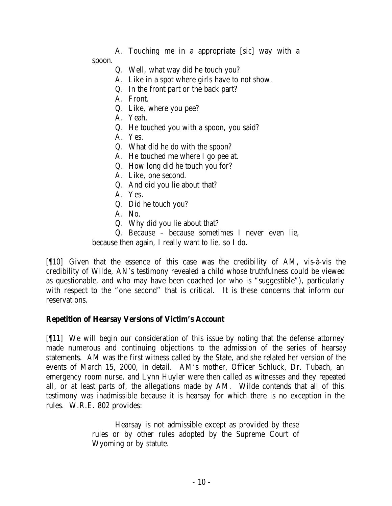A. Touching me in a appropriate [*sic*] way with a spoon.

- Q. Well, what way did he touch you?
- A. Like in a spot where girls have to not show.
- Q. In the front part or the back part?
- A. Front.
- Q. Like, where you pee?
- A. Yeah.
- Q. He touched you with a spoon, you said?
- A. Yes.
- Q. What did he do with the spoon?
- A. He touched me where I go pee at.
- Q. How long did he touch you for?
- A. Like, one second.
- Q. And did you lie about that?
- A. Yes.
- Q. Did he touch you?
- A. No.
- Q. Why did you lie about that?
- Q. Because because sometimes I never even lie,

because then again, I really want to lie, so I do.

[¶10] Given that the essence of this case was the credibility of AM, vis-à-vis the credibility of Wilde, AN's testimony revealed a child whose truthfulness could be viewed as questionable, and who may have been coached (or who is "suggestible"), particularly with respect to the "one second" that is critical. It is these concerns that inform our reservations.

# **Repetition of Hearsay Versions of Victim's Account**

[¶11] We will begin our consideration of this issue by noting that the defense attorney made numerous and continuing objections to the admission of the series of hearsay statements. AM was the first witness called by the State, and she related her version of the events of March 15, 2000, in detail. AM's mother, Officer Schluck, Dr. Tubach, an emergency room nurse, and Lynn Huyler were then called as witnesses and they repeated all, or at least parts of, the allegations made by AM. Wilde contends that all of this testimony was inadmissible because it is hearsay for which there is no exception in the rules. W.R.E. 802 provides:

> Hearsay is not admissible except as provided by these rules or by other rules adopted by the Supreme Court of Wyoming or by statute.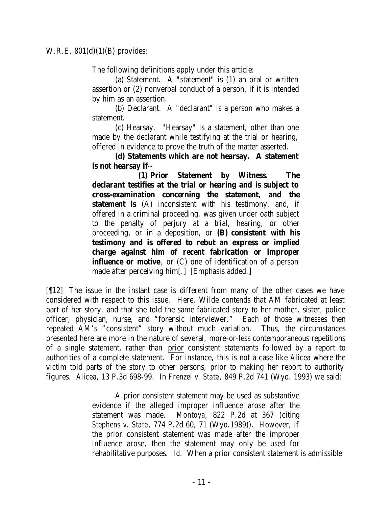The following definitions apply under this article:

(a) Statement. A "statement" is (1) an oral or written assertion or (2) nonverbal conduct of a person, if it is intended by him as an assertion.

(b) Declarant. A "declarant" is a person who makes a statement.

(c) Hearsay. "Hearsay" is a statement, other than one made by the declarant while testifying at the trial or hearing, offered in evidence to prove the truth of the matter asserted.

**(d) Statements which are not hearsay. A statement is not hearsay if**--

**(1) Prior Statement by Witness. The declarant testifies at the trial or hearing and is subject to cross-examination concerning the statement, and the statement is** (A) inconsistent with his testimony, and, if offered in a criminal proceeding, was given under oath subject to the penalty of perjury at a trial, hearing, or other proceeding, or in a deposition, or **(B) consistent with his testimony and is offered to rebut an express or implied charge against him of recent fabrication or improper influence or motive**, or (C) one of identification of a person made after perceiving him[.] [Emphasis added.]

[¶12] The issue in the instant case is different from many of the other cases we have considered with respect to this issue. Here, Wilde contends that AM fabricated at least part of her story, and that she told the same fabricated story to her mother, sister, police officer, physician, nurse, and "forensic interviewer." Each of those witnesses then repeated AM's "consistent" story without much variation. Thus, the circumstances presented here are more in the nature of several, more-or-less contemporaneous repetitions of a single statement, rather than prior consistent statements followed by a report to authorities of a complete statement. For instance, this is not a case like *Alicea* where the victim told parts of the story to other persons, prior to making her report to authority figures. *Alicea*, 13 P.3d 698-99. In *Frenzel v. State*, 849 P.2d 741 (Wyo. 1993) we said:

> A prior consistent statement may be used as substantive evidence if the alleged improper influence arose after the statement was made. *Montoya*, 822 P.2d at 367 (citing *Stephens v. State*, 774 P.2d 60, 71 (Wyo.1989)). However, if the prior consistent statement was made after the improper influence arose, then the statement may only be used for rehabilitative purposes. *Id*. When a prior consistent statement is admissible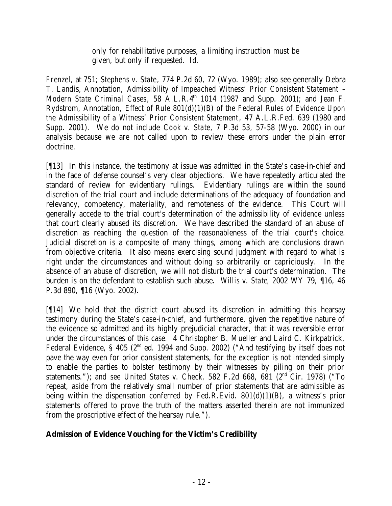only for rehabilitative purposes, a limiting instruction must be given, but only if requested. *Id*.

*Frenzel,* at 751; *Stephens v. State*, 774 P.2d 60, 72 (Wyo. 1989); also see generally Debra T. Landis, Annotation, *Admissibility of Impeached Witness' Prior Consistent Statement – Modern State Criminal Cases*, 58 A.L.R.4<sup>th</sup> 1014 (1987 and Supp. 2001); and Jean F. Rydstrom, Annotation, *Effect of Rule 801(d)(1)(B) of the Federal Rules of Evidence Upon the Admissibility of a Witness' Prior Consistent Statement*, 47 A.L.R.Fed. 639 (1980 and Supp. 2001). We do not include *Cook v. State*, 7 P.3d 53, 57-58 (Wyo. 2000) in our analysis because we are not called upon to review these errors under the plain error doctrine.

[¶13] In this instance, the testimony at issue was admitted in the State's case-in-chief and in the face of defense counsel's very clear objections. We have repeatedly articulated the standard of review for evidentiary rulings. Evidentiary rulings are within the sound discretion of the trial court and include determinations of the adequacy of foundation and relevancy, competency, materiality, and remoteness of the evidence. This Court will generally accede to the trial court's determination of the admissibility of evidence unless that court clearly abused its discretion. We have described the standard of an abuse of discretion as reaching the question of the reasonableness of the trial court's choice. Judicial discretion is a composite of many things, among which are conclusions drawn from objective criteria. It also means exercising sound judgment with regard to what is right under the circumstances and without doing so arbitrarily or capriciously. In the absence of an abuse of discretion, we will not disturb the trial court's determination. The burden is on the defendant to establish such abuse. *Willis v. State*, 2002 WY 79, ¶16, 46 P.3d 890, ¶16 (Wyo. 2002).

[¶14] We hold that the district court abused its discretion in admitting this hearsay testimony during the State's case-in-chief, and furthermore, given the repetitive nature of the evidence so admitted and its highly prejudicial character, that it was reversible error under the circumstances of this case. 4 Christopher B. Mueller and Laird C. Kirkpatrick, Federal Evidence, § 405 ( $2<sup>nd</sup>$  ed. 1994 and Supp. 2002) ("And testifying by itself does not pave the way even for prior consistent statements, for the exception is not intended simply to enable the parties to bolster testimony by their witnesses by piling on their prior statements."); and *see United States v. Check,* 582 F.2d 668, 681 (2nd Cir. 1978) ("To repeat, aside from the relatively small number of prior statements that are admissible as being within the dispensation conferred by Fed.R.Evid.  $801(d)(1)(B)$ , a witness's prior statements offered to prove the truth of the matters asserted therein are not immunized from the proscriptive effect of the hearsay rule.").

# **Admission of Evidence Vouching for the Victim's Credibility**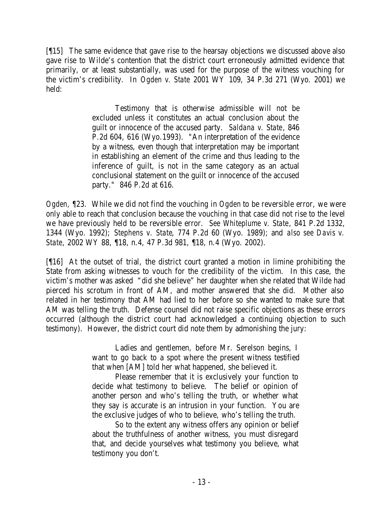[¶15] The same evidence that gave rise to the hearsay objections we discussed above also gave rise to Wilde's contention that the district court erroneously admitted evidence that primarily, or at least substantially, was used for the purpose of the witness vouching for the victim's credibility. In *Ogden v. State* 2001 WY 109, 34 P.3d 271 (Wyo. 2001) we held:

> Testimony that is otherwise admissible will not be excluded unless it constitutes an actual conclusion about the guilt or innocence of the accused party. *Saldana v. State*, 846 P.2d 604, 616 (Wyo.1993). "An interpretation of the evidence by a witness, even though that interpretation may be important in establishing an element of the crime and thus leading to the inference of guilt, is not in the same category as an actual conclusional statement on the guilt or innocence of the accused party." 846 P.2d at 616.

*Ogden, ¶*23. While we did not find the vouching in *Ogden* to be reversible error, we were only able to reach that conclusion because the vouching in that case did not rise to the level we have previously held to be reversible error. *See Whiteplume v. State*, 841 P.2d 1332, 1344 (Wyo. 1992); *Stephens v. State*, 774 P.2d 60 (Wyo. 1989); and *also see Davis v. State*, 2002 WY 88, ¶18, n.4, 47 P.3d 981, ¶18, n.4 (Wyo. 2002).

[¶16] At the outset of trial, the district court granted a motion in limine prohibiting the State from asking witnesses to vouch for the credibility of the victim. In this case, the victim's mother was asked "did she believe" her daughter when she related that Wilde had pierced his scrotum in front of AM, and mother answered that she did. Mother also related in her testimony that AM had lied to her before so she wanted to make sure that AM was telling the truth. Defense counsel did not raise specific objections as these errors occurred (although the district court had acknowledged a continuing objection to such testimony). However, the district court did note them by admonishing the jury:

> Ladies and gentlemen, before Mr. Serelson begins, I want to go back to a spot where the present witness testified that when [AM] told her what happened, she believed it.

> Please remember that it is exclusively your function to decide what testimony to believe. The belief or opinion of another person and who's telling the truth, or whether what they say is accurate is an intrusion in your function. You are the exclusive judges of who to believe, who's telling the truth.

> So to the extent any witness offers any opinion or belief about the truthfulness of another witness, you must disregard that, and decide yourselves what testimony you believe, what testimony you don't.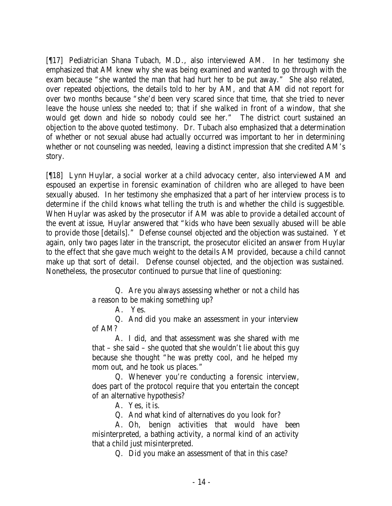[¶17] Pediatrician Shana Tubach, M.D., also interviewed AM. In her testimony she emphasized that AM knew why she was being examined and wanted to go through with the exam because "she wanted the man that had hurt her to be put away." She also related, over repeated objections, the details told to her by AM, and that AM did not report for over two months because "she'd been very scared since that time, that she tried to never leave the house unless she needed to; that if she walked in front of a window, that she would get down and hide so nobody could see her." The district court sustained an objection to the above quoted testimony. Dr. Tubach also emphasized that a determination of whether or not sexual abuse had actually occurred was important to her in determining whether or not counseling was needed, leaving a distinct impression that she credited AM's story.

[¶18] Lynn Huylar, a social worker at a child advocacy center, also interviewed AM and espoused an expertise in forensic examination of children who are alleged to have been sexually abused. In her testimony she emphasized that a part of her interview process is to determine if the child knows what telling the truth is and whether the child is suggestible. When Huylar was asked by the prosecutor if AM was able to provide a detailed account of the event at issue, Huylar answered that "kids who have been sexually abused will be able to provide those [details]." Defense counsel objected and the objection was sustained. Yet again, only two pages later in the transcript, the prosecutor elicited an answer from Huylar to the effect that she gave much weight to the details AM provided, because a child cannot make up that sort of detail. Defense counsel objected, and the objection was sustained. Nonetheless, the prosecutor continued to pursue that line of questioning:

> Q. Are you always assessing whether or not a child has a reason to be making something up?

> > A. Yes.

Q. And did you make an assessment in your interview of AM?

A. I did, and that assessment was she shared with me that – she said – she quoted that she wouldn't lie about this guy because she thought "he was pretty cool, and he helped my mom out, and he took us places."

Q. Whenever you're conducting a forensic interview, does part of the protocol require that you entertain the concept of an alternative hypothesis?

A. Yes, it is.

Q. And what kind of alternatives do you look for?

A. Oh, benign activities that would have been misinterpreted, a bathing activity, a normal kind of an activity that a child just misinterpreted.

Q. Did you make an assessment of that in this case?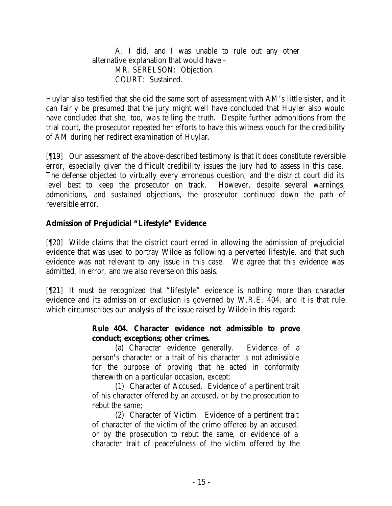A. I did, and I was unable to rule out any other alternative explanation that would have – MR. SERELSON: Objection. COURT: Sustained.

Huylar also testified that she did the same sort of assessment with AM's little sister, and it can fairly be presumed that the jury might well have concluded that Huyler also would have concluded that she, too, was telling the truth. Despite further admonitions from the trial court, the prosecutor repeated her efforts to have this witness vouch for the credibility of AM during her redirect examination of Huylar.

[¶19] Our assessment of the above-described testimony is that it does constitute reversible error, especially given the difficult credibility issues the jury had to assess in this case. The defense objected to virtually every erroneous question, and the district court did its level best to keep the prosecutor on track. However, despite several warnings, admonitions, and sustained objections, the prosecutor continued down the path of reversible error.

# **Admission of Prejudicial "Lifestyle" Evidence**

[¶20] Wilde claims that the district court erred in allowing the admission of prejudicial evidence that was used to portray Wilde as following a perverted lifestyle, and that such evidence was not relevant to any issue in this case. We agree that this evidence was admitted, in error, and we also reverse on this basis.

[¶21] It must be recognized that "lifestyle" evidence is nothing more than character evidence and its admission or exclusion is governed by W.R.E. 404, and it is that rule which circumscribes our analysis of the issue raised by Wilde in this regard:

## **Rule 404. Character evidence not admissible to prove conduct; exceptions; other crimes.**

(a) Character evidence generally. Evidence of a person's character or a trait of his character is not admissible for the purpose of proving that he acted in conformity therewith on a particular occasion, except:

(1) Character of Accused. Evidence of a pertinent trait of his character offered by an accused, or by the prosecution to rebut the same;

(2) Character of Victim. Evidence of a pertinent trait of character of the victim of the crime offered by an accused, or by the prosecution to rebut the same, or evidence of a character trait of peacefulness of the victim offered by the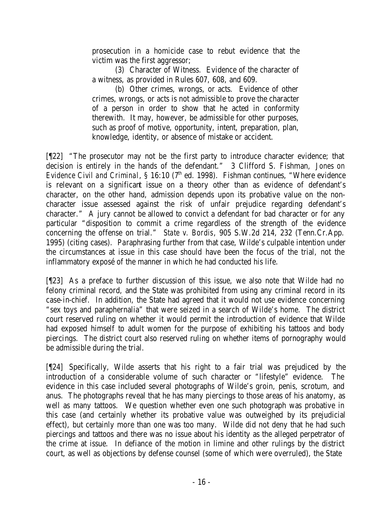prosecution in a homicide case to rebut evidence that the victim was the first aggressor;

(3) Character of Witness. Evidence of the character of a witness, as provided in Rules 607, 608, and 609.

(b) Other crimes, wrongs, or acts. Evidence of other crimes, wrongs, or acts is not admissible to prove the character of a person in order to show that he acted in conformity therewith. It may, however, be admissible for other purposes, such as proof of motive, opportunity, intent, preparation, plan, knowledge, identity, or absence of mistake or accident.

[¶22] "The prosecutor may not be the first party to introduce character evidence; that decision is entirely in the hands of the defendant." 3 Clifford S. Fishman, *Jones on Evidence Civil and Criminal*, § 16:10 (7<sup>th</sup> ed. 1998). Fishman continues, "Where evidence is relevant on a significant issue on a theory other than as evidence of defendant's character, on the other hand, admission depends upon its probative value on the noncharacter issue assessed against the risk of unfair prejudice regarding defendant's character." A jury cannot be allowed to convict a defendant for bad character or for any particular "disposition to commit a crime regardless of the strength of the evidence concerning the offense on trial." *State v. Bordis*, 905 S.W.2d 214, 232 (Tenn.Cr.App. 1995) (citing cases). Paraphrasing further from that case, Wilde's culpable intention under the circumstances at issue in this case should have been the focus of the trial, not the inflammatory exposé of the manner in which he had conducted his life.

[¶23] As a preface to further discussion of this issue, we also note that Wilde had no felony criminal record, and the State was prohibited from using any criminal record in its case-in-chief. In addition, the State had agreed that it would not use evidence concerning "sex toys and paraphernalia" that were seized in a search of Wilde's home. The district court reserved ruling on whether it would permit the introduction of evidence that Wilde had exposed himself to adult women for the purpose of exhibiting his tattoos and body piercings. The district court also reserved ruling on whether items of pornography would be admissible during the trial.

[¶24] Specifically, Wilde asserts that his right to a fair trial was prejudiced by the introduction of a considerable volume of such character or "lifestyle" evidence. The evidence in this case included several photographs of Wilde's groin, penis, scrotum, and anus. The photographs reveal that he has many piercings to those areas of his anatomy, as well as many tattoos. We question whether even one such photograph was probative in this case (and certainly whether its probative value was outweighed by its prejudicial effect), but certainly more than one was too many. Wilde did not deny that he had such piercings and tattoos and there was no issue about his identity as the alleged perpetrator of the crime at issue. In defiance of the motion in limine and other rulings by the district court, as well as objections by defense counsel (some of which were overruled), the State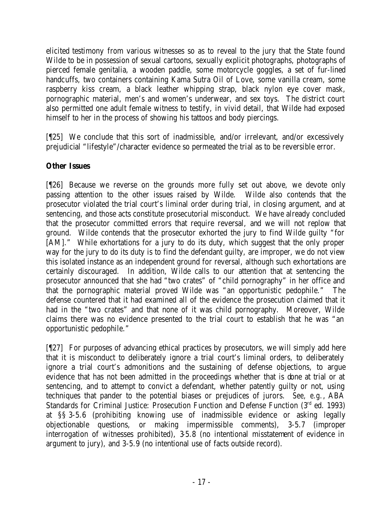elicited testimony from various witnesses so as to reveal to the jury that the State found Wilde to be in possession of sexual cartoons, sexually explicit photographs, photographs of pierced female genitalia, a wooden paddle, some motorcycle goggles, a set of fur-lined handcuffs, two containers containing Kama Sutra Oil of Love, some vanilla cream, some raspberry kiss cream, a black leather whipping strap, black nylon eye cover mask, pornographic material, men's and women's underwear, and sex toys. The district court also permitted one adult female witness to testify, in vivid detail, that Wilde had exposed himself to her in the process of showing his tattoos and body piercings.

[¶25] We conclude that this sort of inadmissible, and/or irrelevant, and/or excessively prejudicial "lifestyle"/character evidence so permeated the trial as to be reversible error.

# **Other Issues**

[¶26] Because we reverse on the grounds more fully set out above, we devote only passing attention to the other issues raised by Wilde. Wilde also contends that the prosecutor violated the trial court's liminal order during trial, in closing argument, and at sentencing, and those acts constitute prosecutorial misconduct. We have already concluded that the prosecutor committed errors that require reversal, and we will not replow that ground. Wilde contends that the prosecutor exhorted the jury to find Wilde guilty "for [AM]." While exhortations for a jury to do its duty, which suggest that the only proper way for the jury to do its duty is to find the defendant guilty, are improper, we do not view this isolated instance as an independent ground for reversal, although such exhortations are certainly discouraged. In addition, Wilde calls to our attention that at sentencing the prosecutor announced that she had "two crates" of "child pornography" in her office and that the pornographic material proved Wilde was "an opportunistic pedophile." The defense countered that it had examined all of the evidence the prosecution claimed that it had in the "two crates" and that none of it was child pornography. Moreover, Wilde claims there was no evidence presented to the trial court to establish that he was "an opportunistic pedophile."

[¶27] For purposes of advancing ethical practices by prosecutors, we will simply add here that it is misconduct to deliberately ignore a trial court's liminal orders, to deliberately ignore a trial court's admonitions and the sustaining of defense objections, to argue evidence that has not been admitted in the proceedings whether that is done at trial or at sentencing, and to attempt to convict a defendant, whether patently guilty or not, using techniques that pander to the potential biases or prejudices of jurors. *See, e.g.*, ABA Standards for Criminal Justice: Prosecution Function and Defense Function (3<sup>rd</sup> ed. 1993) at §§ 3-5.6 (prohibiting knowing use of inadmissible evidence or asking legally objectionable questions, or making impermissible comments), 3-5.7 (improper interrogation of witnesses prohibited), 3-5.8 (no intentional misstatement of evidence in argument to jury), and 3-5.9 (no intentional use of facts outside record).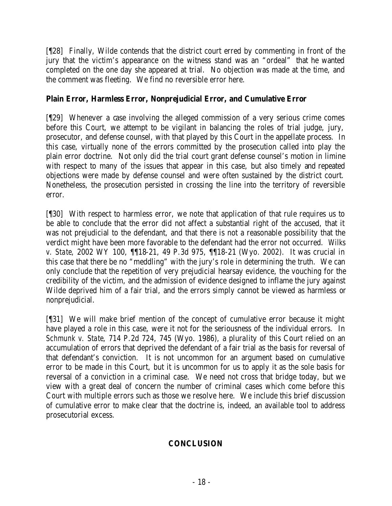[¶28] Finally, Wilde contends that the district court erred by commenting in front of the jury that the victim's appearance on the witness stand was an "ordeal" that he wanted completed on the one day she appeared at trial. No objection was made at the time, and the comment was fleeting. We find no reversible error here.

## **Plain Error, Harmless Error, Nonprejudicial Error, and Cumulative Error**

[¶29] Whenever a case involving the alleged commission of a very serious crime comes before this Court, we attempt to be vigilant in balancing the roles of trial judge, jury, prosecutor, and defense counsel, with that played by this Court in the appellate process. In this case, virtually none of the errors committed by the prosecution called into play the plain error doctrine. Not only did the trial court grant defense counsel's motion in limine with respect to many of the issues that appear in this case, but also timely and repeated objections were made by defense counsel and were often sustained by the district court. Nonetheless, the prosecution persisted in crossing the line into the territory of reversible error.

[¶30] With respect to harmless error, we note that application of that rule requires us to be able to conclude that the error did not affect a substantial right of the accused, that it was not prejudicial to the defendant, and that there is not a reasonable possibility that the verdict might have been more favorable to the defendant had the error not occurred. *Wilks v. State*, 2002 WY 100, ¶¶18-21, 49 P.3d 975, ¶¶18-21 (Wyo. 2002). It was crucial in this case that there be no "meddling" with the jury's role in determining the truth. We can only conclude that the repetition of very prejudicial hearsay evidence, the vouching for the credibility of the victim, and the admission of evidence designed to inflame the jury against Wilde deprived him of a fair trial, and the errors simply cannot be viewed as harmless or nonprejudicial.

[¶31] We will make brief mention of the concept of cumulative error because it might have played a role in this case, were it not for the seriousness of the individual errors. In *Schmunk v. State*, 714 P.2d 724, 745 (Wyo. 1986), a plurality of this Court relied on an accumulation of errors that deprived the defendant of a fair trial as the basis for reversal of that defendant's conviction. It is not uncommon for an argument based on cumulative error to be made in this Court, but it is uncommon for us to apply it as the sole basis for reversal of a conviction in a criminal case. We need not cross that bridge today, but we view with a great deal of concern the number of criminal cases which come before this Court with multiple errors such as those we resolve here. We include this brief discussion of cumulative error to make clear that the doctrine is, indeed, an available tool to address prosecutorial excess.

# **CONCLUSION**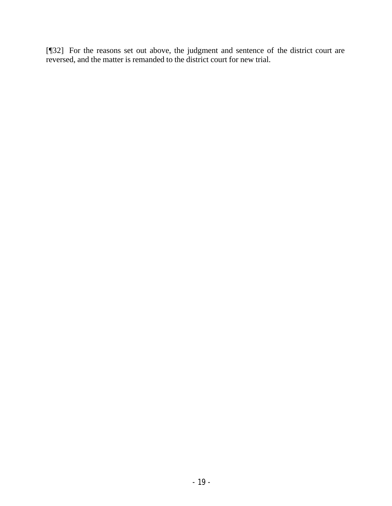[¶32] For the reasons set out above, the judgment and sentence of the district court are reversed, and the matter is remanded to the district court for new trial.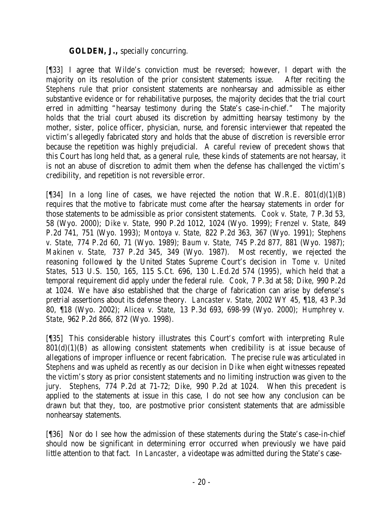## **GOLDEN, J.,** specially concurring.

[¶33] I agree that Wilde's conviction must be reversed; however, I depart with the majority on its resolution of the prior consistent statements issue. After reciting the *Stephens* rule that prior consistent statements are nonhearsay and admissible as either substantive evidence or for rehabilitative purposes, the majority decides that the trial court erred in admitting "hearsay testimony during the State's case-in-chief." The majority holds that the trial court abused its discretion by admitting hearsay testimony by the mother, sister, police officer, physician, nurse, and forensic interviewer that repeated the victim's allegedly fabricated story and holds that the abuse of discretion is reversible error because the repetition was highly prejudicial. A careful review of precedent shows that this Court has long held that, as a general rule, these kinds of statements are not hearsay, it is not an abuse of discretion to admit them when the defense has challenged the victim's credibility, and repetition is not reversible error.

[ $[$ [34] In a long line of cases, we have rejected the notion that W.R.E. 801(d)(1)(B) requires that the motive to fabricate must come after the hearsay statements in order for those statements to be admissible as prior consistent statements. *Cook v. State,* 7 P.3d 53, 58 (Wyo. 2000); *Dike v. State,* 990 P.2d 1012, 1024 (Wyo. 1999); *Frenzel v. State,* 849 P.2d 741, 751 (Wyo. 1993); *Montoya v. State,* 822 P.2d 363, 367 (Wyo. 1991); *Stephens v. State,* 774 P.2d 60, 71 (Wyo. 1989); *Baum v. State,* 745 P.2d 877, 881 (Wyo. 1987); *Makinen v. State,* 737 P.2d 345, 349 (Wyo. 1987). Most recently, we rejected the reasoning followed by the United States Supreme Court's decision in *Tome v. United States,* 513 U.S. 150, 165, 115 S.Ct. 696, 130 L.Ed.2d 574 (1995)*,* which held that a temporal requirement did apply under the federal rule. *Cook,* 7 P.3d at 58; *Dike,* 990 P.2d at 1024. We have also established that the charge of fabrication can arise by defense's pretrial assertions about its defense theory. *Lancaster v. State,* 2002 WY 45, ¶18, 43 P.3d 80, ¶18 (Wyo. 2002); *Alicea v. State,* 13 P.3d 693, 698-99 (Wyo. 2000); *Humphrey v. State,* 962 P.2d 866, 872 (Wyo. 1998)*.* 

[¶35] This considerable history illustrates this Court's comfort with interpreting Rule  $801(d)(1)(B)$  as allowing consistent statements when credibility is at issue because of allegations of improper influence or recent fabrication. The precise rule was articulated in *Stephens* and was upheld as recently as our decision in *Dike* when eight witnesses repeated the victim's story as prior consistent statements and no limiting instruction was given to the jury. *Stephens,* 774 P.2d at 71-72; *Dike,* 990 P.2d at 1024. When this precedent is applied to the statements at issue in this case, I do not see how any conclusion can be drawn but that they, too, are postmotive prior consistent statements that are admissible nonhearsay statements.

[¶36] Nor do I see how the admission of these statements during the State's case-in-chief should now be significant in determining error occurred when previously we have paid little attention to that fact. In *Lancaster,* a videotape was admitted during the State's case-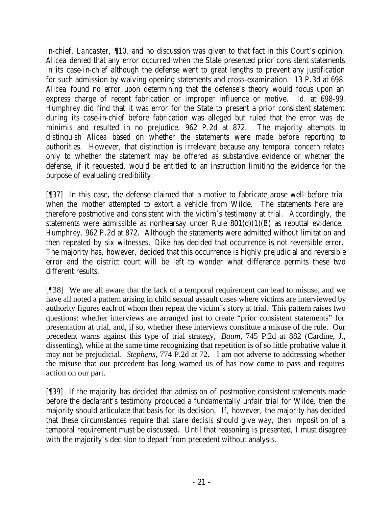in-chief, *Lancaster,* ¶10, and no discussion was given to that fact in this Court's opinion. *Alicea* denied that any error occurred when the State presented prior consistent statements in its case-in-chief although the defense went to great lengths to prevent any justification for such admission by waiving opening statements and cross-examination. 13 P.3d at 698. *Alicea* found no error upon determining that the defense's theory would focus upon an express charge of recent fabrication or improper influence or motive. *Id.* at 698-99. *Humphrey* did find that it was error for the State to present a prior consistent statement during its case-in-chief before fabrication was alleged but ruled that the error was de minimis and resulted in no prejudice. 962 P.2d at 872. The majority attempts to distinguish *Alicea* based on whether the statements were made before reporting to authorities. However, that distinction is irrelevant because any temporal concern relates only to whether the statement may be offered as substantive evidence or whether the defense, if it requested, would be entitled to an instruction limiting the evidence for the purpose of evaluating credibility.

[¶37] In this case, the defense claimed that a motive to fabricate arose well before trial when the mother attempted to extort a vehicle from Wilde. The statements here are therefore postmotive and consistent with the victim's testimony at trial. Accordingly, the statements were admissible as nonhearsay under Rule  $801(d)(1)(B)$  as rebuttal evidence. *Humphrey,* 962 P.2d at 872. Although the statements were admitted without limitation and then repeated by six witnesses, *Dike* has decided that occurrence is not reversible error. The majority has, however, decided that this occurrence is highly prejudicial and reversible error and the district court will be left to wonder what difference permits these two different results.

[¶38] We are all aware that the lack of a temporal requirement can lead to misuse, and we have all noted a pattern arising in child sexual assault cases where victims are interviewed by authority figures each of whom then repeat the victim's story at trial. This pattern raises two questions: whether interviews are arranged just to create "prior consistent statements" for presentation at trial, and, if so, whether these interviews constitute a misuse of the rule. Our precedent warns against this type of trial strategy, *Baum,* 745 P.2d at 882 (Cardine, J., dissenting), while at the same time recognizing that repetition is of so little probative value it may not be prejudicial. *Stephens,* 774 P.2d at 72. I am not adverse to addressing whether the misuse that our precedent has long warned us of has now come to pass and requires action on our part.

[¶39] If the majority has decided that admission of postmotive consistent statements made before the declarant's testimony produced a fundamentally unfair trial for Wilde, then the majority should articulate that basis for its decision. If, however, the majority has decided that these circumstances require that *stare decisis* should give way, then imposition of a temporal requirement must be discussed. Until that reasoning is presented, I must disagree with the majority's decision to depart from precedent without analysis.